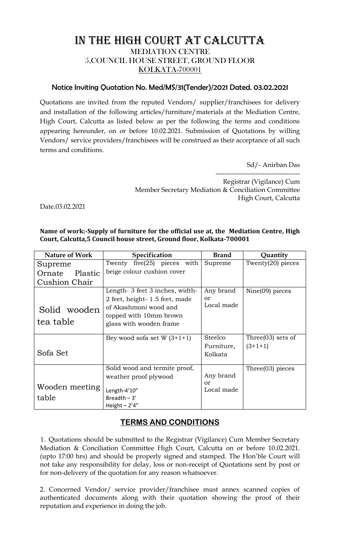## IN THE HIGH COURT AT CALCUTTA MEDIATION CENTRE 5,COUNCIL HOUSE STREET, GROUND FLOOR KOLKATA-700001

## Notice Inviting Quotation No. Med/MS/31(Tender)/2021 Dated. 03.02.2021

Quotations are invited from the reputed Vendors/ supplier/franchisees for delivery and installation of the following articles/furniture/materials at the Mediation Centre, High Court, Calcutta as listed below as per the following the terms and conditions appearing hereunder, on or before 10.02.2021. Submission of Quotations by willing Vendors/ service providers/franchisees will be construed as their acceptance of all such terms and conditions.

Sd/- Anirban Das

-------------------------------------- Registrar (Vigilance) Cum Member Secretary Mediation & Conciliation Committee High Court, Calcutta

Date.03.02.2021

**Name of work:-Supply of furniture for the official use at, the Mediation Centre, High Court, Calcutta,5 Council house street, Ground floor, Kolkata-700001**

| <b>Nature of Work</b>     | Specification                                                                                                                                 | <b>Brand</b>                     | Quantity                          |
|---------------------------|-----------------------------------------------------------------------------------------------------------------------------------------------|----------------------------------|-----------------------------------|
| Supreme                   | Twenty five $(25)$ pieces with                                                                                                                | Supreme                          | Twenty(20) pieces                 |
| Plastic<br>Ornate         | beige colour cushion cover                                                                                                                    |                                  |                                   |
| Cushion Chair             |                                                                                                                                               |                                  |                                   |
| Solid wooden<br>tea table | Length-3 feet 3 inches, width-<br>2 feet, height-1.5 feet, made<br>of Akashmoni wood and<br>topped with 10mm brown<br>glass with wooden frame | Any brand<br>or<br>Local made    | Nine $(09)$ pieces                |
| Sofa Set                  | Bey wood sofa set W $(3+1+1)$                                                                                                                 | Steelco<br>Furniture,<br>Kolkata | Three $(03)$ sets of<br>$(3+1+1)$ |
| Wooden meeting<br>table   | Solid wood and termite proof,<br>weather proof plywood<br>Length-4'10"<br>Breadth $-3'$<br>Height $-2'4''$                                    | Any brand<br>or<br>Local made    | Three $(03)$ pieces               |

## **TERMS AND CONDITIONS**

1. Quotations should be submitted to the Registrar (Vigilance) Cum Member Secretary Mediation & Conciliation Committee High Court, Calcutta on or before 10.02.2021. (upto 17:00 hrs) and should be properly signed and stamped. The Hon'ble Court will not take any responsibility for delay, loss or non-receipt of Quotations sent by post or for non-delivery of the quotation for any reason whatsoever.

2. Concerned Vendor/ service provider/franchisee must annex scanned copies of authenticated documents along with their quotation showing the proof of their reputation and experience in doing the job.